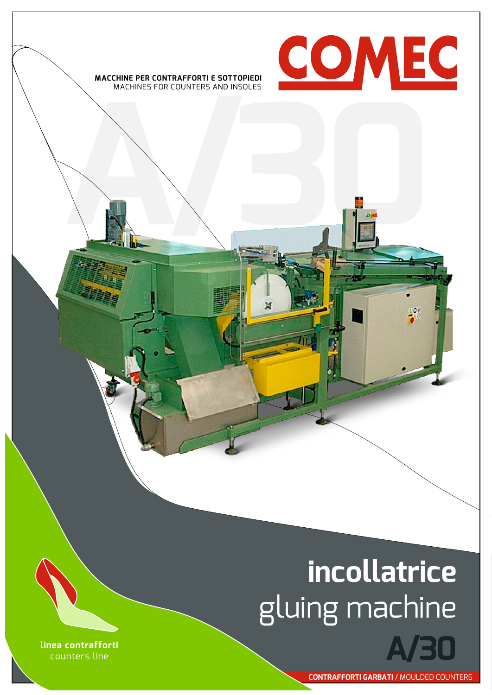

## **incollatrice** gluing machine

**linea contrafforti** counters line

**contrafforti garbati** / moulded counters

**A/30**